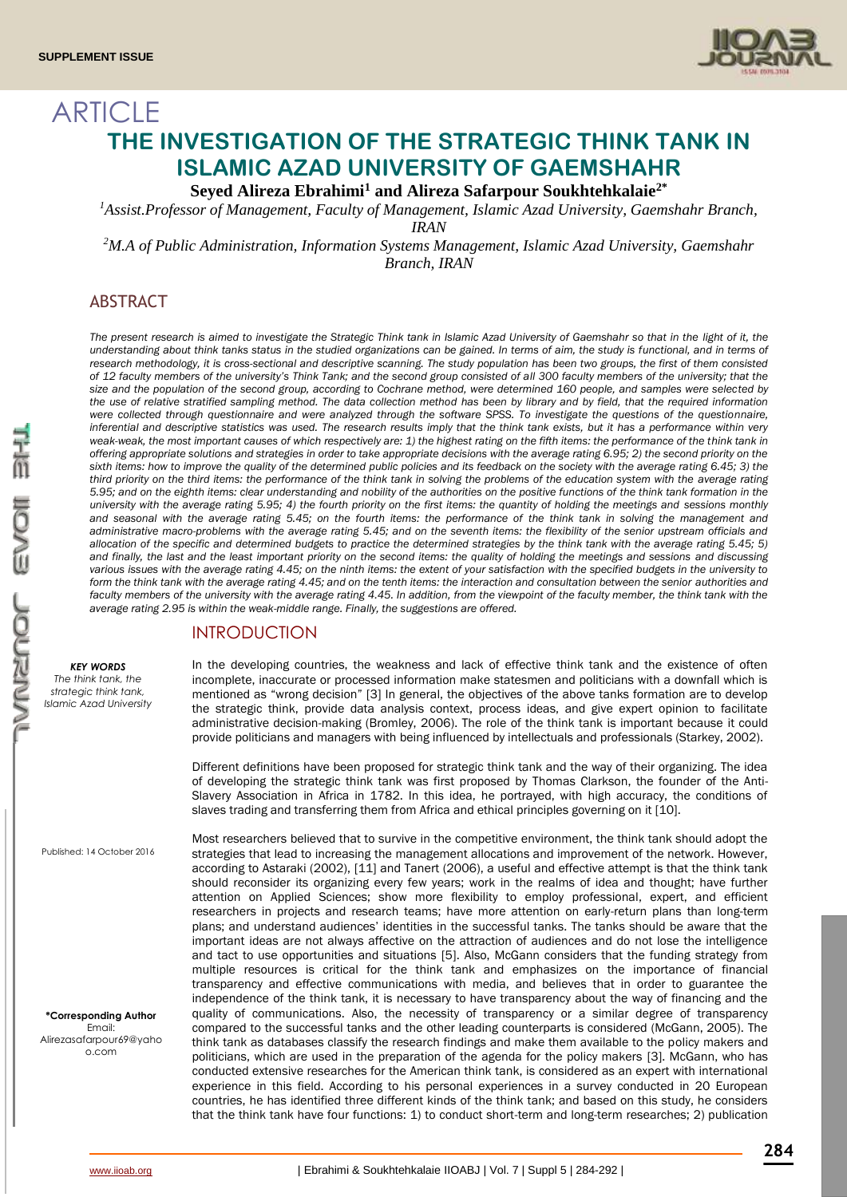

# ARTICLE **THE INVESTIGATION OF THE STRATEGIC THINK TANK IN ISLAMIC AZAD UNIVERSITY OF GAEMSHAHR**

**Seyed Alireza Ebrahimi<sup>1</sup> and Alireza Safarpour Soukhtehkalaie2\***

*<sup>1</sup>Assist.Professor of Management, Faculty of Management, Islamic Azad University, Gaemshahr Branch, IRAN*

*<sup>2</sup>M.A of Public Administration, Information Systems Management, Islamic Azad University, Gaemshahr Branch, IRAN*

# ABSTRACT

The present research is aimed to investigate the Strategic Think tank in Islamic Azad University of Gaemshahr so that in the light of it, the understanding about think tanks status in the studied organizations can be gained. In terms of aim, the study is functional, and in terms of *research methodology, it is cross-sectional and descriptive scanning. The study population has been two groups, the first of them consisted of 12 faculty members of the university's Think Tank; and the second group consisted of all 300 faculty members of the university; that the size and the population of the second group, according to Cochrane method, were determined 160 people, and samples were selected by the use of relative stratified sampling method. The data collection method has been by library and by field, that the required information were collected through questionnaire and were analyzed through the software SPSS. To investigate the questions of the questionnaire, inferential and descriptive statistics was used. The research results imply that the think tank exists, but it has a performance within very weak-weak, the most important causes of which respectively are: 1) the highest rating on the fifth items: the performance of the think tank in offering appropriate solutions and strategies in order to take appropriate decisions with the average rating 6.95; 2) the second priority on the*  sixth items: how to improve the quality of the determined public policies and its feedback on the society with the average rating 6.45; 3) the *third priority on the third items: the performance of the think tank in solving the problems of the education system with the average rating 5.95; and on the eighth items: clear understanding and nobility of the authorities on the positive functions of the think tank formation in the university with the average rating 5.95; 4) the fourth priority on the first items: the quantity of holding the meetings and sessions monthly and seasonal with the average rating 5.45; on the fourth items: the performance of the think tank in solving the management and administrative macro-problems with the average rating 5.45; and on the seventh items: the flexibility of the senior upstream officials and allocation of the specific and determined budgets to practice the determined strategies by the think tank with the average rating 5.45; 5) and finally, the last and the least important priority on the second items: the quality of holding the meetings and sessions and discussing various issues with the average rating 4.45; on the ninth items: the extent of your satisfaction with the specified budgets in the university to*  form the think tank with the average rating 4.45; and on the tenth items: the interaction and consultation between the senior authorities and faculty members of the university with the average rating 4.45. In addition, from the viewpoint of the faculty member, the think tank with the *average rating 2.95 is within the weak-middle range. Finally, the suggestions are offered.* 

# INTRODUCTION

*KEY WORDS*

*The think tank, the strategic think tank, Islamic Azad University*

Published: 14 October 2016

**\*Corresponding Author** Email: Alirezasafarpour69@yaho o.com

In the developing countries, the weakness and lack of effective think tank and the existence of often incomplete, inaccurate or processed information make statesmen and politicians with a downfall which is mentioned as "wrong decision" [3] In general, the objectives of the above tanks formation are to develop the strategic think, provide data analysis context, process ideas, and give expert opinion to facilitate administrative decision-making (Bromley, 2006). The role of the think tank is important because it could provide politicians and managers with being influenced by intellectuals and professionals (Starkey, 2002).

Different definitions have been proposed for strategic think tank and the way of their organizing. The idea of developing the strategic think tank was first proposed by Thomas Clarkson, the founder of the Anti-Slavery Association in Africa in 1782. In this idea, he portrayed, with high accuracy, the conditions of slaves trading and transferring them from Africa and ethical principles governing on it [10].

Most researchers believed that to survive in the competitive environment, the think tank should adopt the strategies that lead to increasing the management allocations and improvement of the network. However, according to Astaraki (2002), [11] and Tanert (2006), a useful and effective attempt is that the think tank should reconsider its organizing every few years; work in the realms of idea and thought; have further attention on Applied Sciences; show more flexibility to employ professional, expert, and efficient researchers in projects and research teams; have more attention on early-return plans than long-term plans; and understand audiences' identities in the successful tanks. The tanks should be aware that the important ideas are not always affective on the attraction of audiences and do not lose the intelligence and tact to use opportunities and situations [5]. Also, McGann considers that the funding strategy from multiple resources is critical for the think tank and emphasizes on the importance of financial transparency and effective communications with media, and believes that in order to guarantee the independence of the think tank, it is necessary to have transparency about the way of financing and the quality of communications. Also, the necessity of transparency or a similar degree of transparency compared to the successful tanks and the other leading counterparts is considered (McGann, 2005). The think tank as databases classify the research findings and make them available to the policy makers and politicians, which are used in the preparation of the agenda for the policy makers [3]. McGann, who has conducted extensive researches for the American think tank, is considered as an expert with international experience in this field. According to his personal experiences in a survey conducted in 20 European countries, he has identified three different kinds of the think tank; and based on this study, he considers that the think tank have four functions: 1) to conduct short-term and long-term researches; 2) publication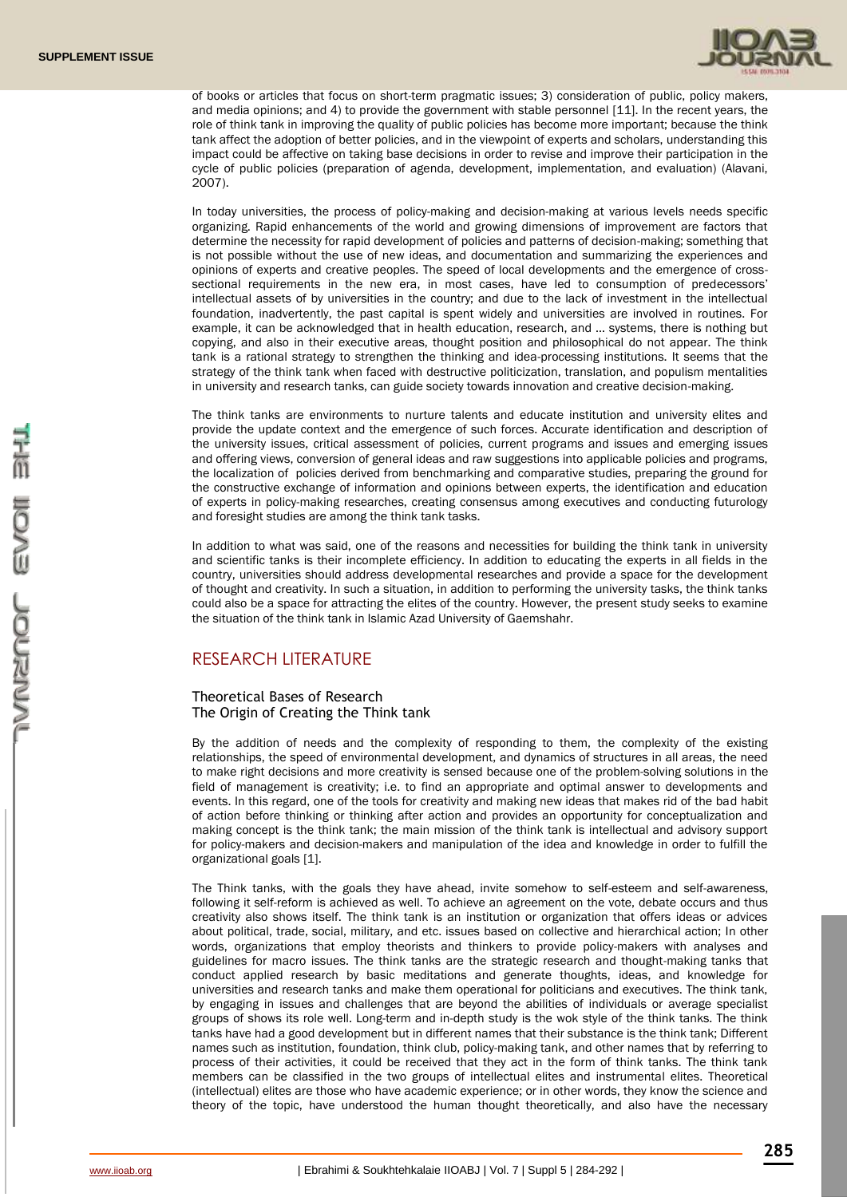

of books or articles that focus on short-term pragmatic issues; 3) consideration of public, policy makers, and media opinions; and 4) to provide the government with stable personnel [11]. In the recent years, the role of think tank in improving the quality of public policies has become more important; because the think tank affect the adoption of better policies, and in the viewpoint of experts and scholars, understanding this impact could be affective on taking base decisions in order to revise and improve their participation in the cycle of public policies (preparation of agenda, development, implementation, and evaluation) (Alavani, 2007).

In today universities, the process of policy-making and decision-making at various levels needs specific organizing. Rapid enhancements of the world and growing dimensions of improvement are factors that determine the necessity for rapid development of policies and patterns of decision-making; something that is not possible without the use of new ideas, and documentation and summarizing the experiences and opinions of experts and creative peoples. The speed of local developments and the emergence of crosssectional requirements in the new era, in most cases, have led to consumption of predecessors' intellectual assets of by universities in the country; and due to the lack of investment in the intellectual foundation, inadvertently, the past capital is spent widely and universities are involved in routines. For example, it can be acknowledged that in health education, research, and … systems, there is nothing but copying, and also in their executive areas, thought position and philosophical do not appear. The think tank is a rational strategy to strengthen the thinking and idea-processing institutions. It seems that the strategy of the think tank when faced with destructive politicization, translation, and populism mentalities in university and research tanks, can guide society towards innovation and creative decision-making.

The think tanks are environments to nurture talents and educate institution and university elites and provide the update context and the emergence of such forces. Accurate identification and description of the university issues, critical assessment of policies, current programs and issues and emerging issues and offering views, conversion of general ideas and raw suggestions into applicable policies and programs, the localization of policies derived from benchmarking and comparative studies, preparing the ground for the constructive exchange of information and opinions between experts, the identification and education of experts in policy-making researches, creating consensus among executives and conducting futurology and foresight studies are among the think tank tasks.

In addition to what was said, one of the reasons and necessities for building the think tank in university and scientific tanks is their incomplete efficiency. In addition to educating the experts in all fields in the country, universities should address developmental researches and provide a space for the development of thought and creativity. In such a situation, in addition to performing the university tasks, the think tanks could also be a space for attracting the elites of the country. However, the present study seeks to examine the situation of the think tank in Islamic Azad University of Gaemshahr.

# RESEARCH LITERATURE

# Theoretical Bases of Research The Origin of Creating the Think tank

By the addition of needs and the complexity of responding to them, the complexity of the existing relationships, the speed of environmental development, and dynamics of structures in all areas, the need to make right decisions and more creativity is sensed because one of the problem-solving solutions in the field of management is creativity; i.e. to find an appropriate and optimal answer to developments and events. In this regard, one of the tools for creativity and making new ideas that makes rid of the bad habit of action before thinking or thinking after action and provides an opportunity for conceptualization and making concept is the think tank; the main mission of the think tank is intellectual and advisory support for policy-makers and decision-makers and manipulation of the idea and knowledge in order to fulfill the organizational goals [1].

The Think tanks, with the goals they have ahead, invite somehow to self-esteem and self-awareness, following it self-reform is achieved as well. To achieve an agreement on the vote, debate occurs and thus creativity also shows itself. The think tank is an institution or organization that offers ideas or advices about political, trade, social, military, and etc. issues based on collective and hierarchical action; In other words, organizations that employ theorists and thinkers to provide policy-makers with analyses and guidelines for macro issues. The think tanks are the strategic research and thought-making tanks that conduct applied research by basic meditations and generate thoughts, ideas, and knowledge for universities and research tanks and make them operational for politicians and executives. The think tank, by engaging in issues and challenges that are beyond the abilities of individuals or average specialist groups of shows its role well. Long-term and in-depth study is the wok style of the think tanks. The think tanks have had a good development but in different names that their substance is the think tank; Different names such as institution, foundation, think club, policy-making tank, and other names that by referring to process of their activities, it could be received that they act in the form of think tanks. The think tank members can be classified in the two groups of intellectual elites and instrumental elites. Theoretical (intellectual) elites are those who have academic experience; or in other words, they know the science and theory of the topic, have understood the human thought theoretically, and also have the necessary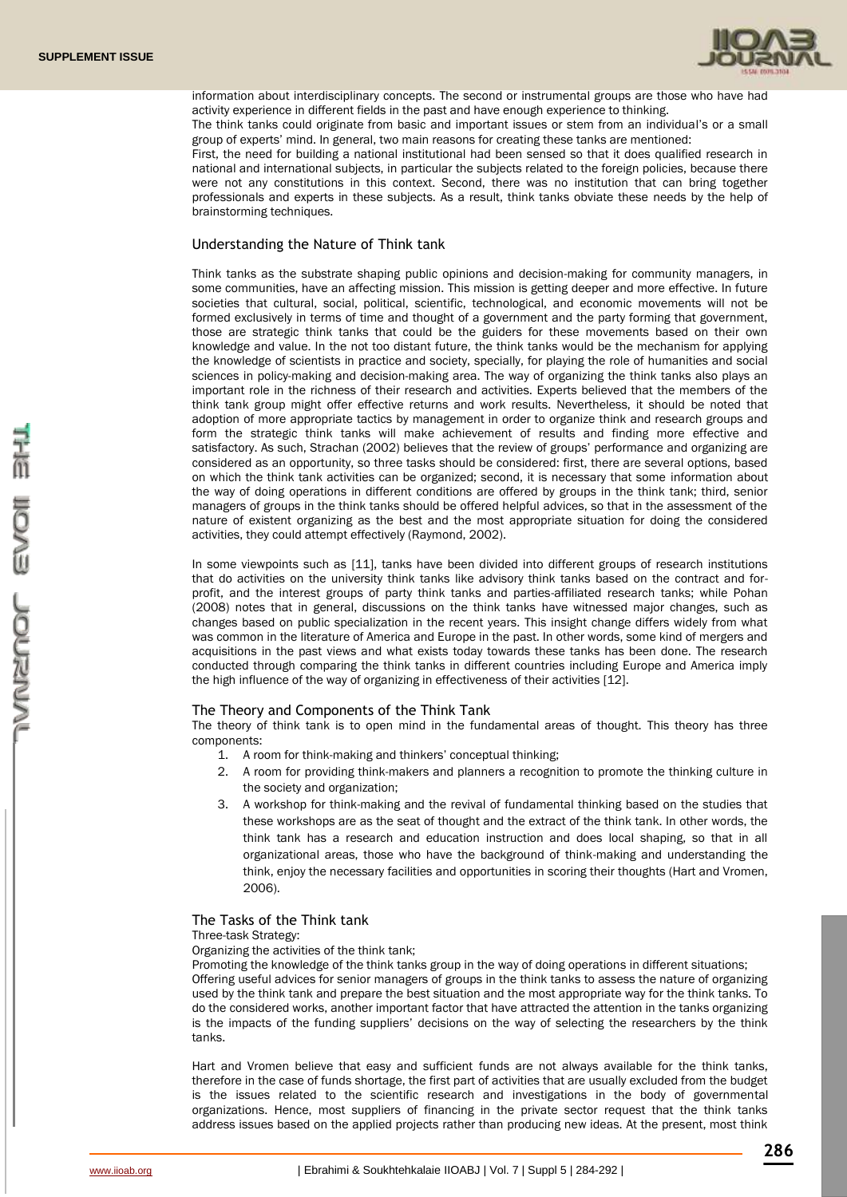

information about interdisciplinary concepts. The second or instrumental groups are those who have had activity experience in different fields in the past and have enough experience to thinking. The think tanks could originate from basic and important issues or stem from an individual's or a small

group of experts' mind. In general, two main reasons for creating these tanks are mentioned: First, the need for building a national institutional had been sensed so that it does qualified research in national and international subjects, in particular the subjects related to the foreign policies, because there

were not any constitutions in this context. Second, there was no institution that can bring together professionals and experts in these subjects. As a result, think tanks obviate these needs by the help of brainstorming techniques.

#### Understanding the Nature of Think tank

Think tanks as the substrate shaping public opinions and decision-making for community managers, in some communities, have an affecting mission. This mission is getting deeper and more effective. In future societies that cultural, social, political, scientific, technological, and economic movements will not be formed exclusively in terms of time and thought of a government and the party forming that government, those are strategic think tanks that could be the guiders for these movements based on their own knowledge and value. In the not too distant future, the think tanks would be the mechanism for applying the knowledge of scientists in practice and society, specially, for playing the role of humanities and social sciences in policy-making and decision-making area. The way of organizing the think tanks also plays an important role in the richness of their research and activities. Experts believed that the members of the think tank group might offer effective returns and work results. Nevertheless, it should be noted that adoption of more appropriate tactics by management in order to organize think and research groups and form the strategic think tanks will make achievement of results and finding more effective and satisfactory. As such, Strachan (2002) believes that the review of groups' performance and organizing are considered as an opportunity, so three tasks should be considered: first, there are several options, based on which the think tank activities can be organized; second, it is necessary that some information about the way of doing operations in different conditions are offered by groups in the think tank; third, senior managers of groups in the think tanks should be offered helpful advices, so that in the assessment of the nature of existent organizing as the best and the most appropriate situation for doing the considered activities, they could attempt effectively (Raymond, 2002).

In some viewpoints such as [11], tanks have been divided into different groups of research institutions that do activities on the university think tanks like advisory think tanks based on the contract and forprofit, and the interest groups of party think tanks and parties-affiliated research tanks; while Pohan (2008) notes that in general, discussions on the think tanks have witnessed major changes, such as changes based on public specialization in the recent years. This insight change differs widely from what was common in the literature of America and Europe in the past. In other words, some kind of mergers and acquisitions in the past views and what exists today towards these tanks has been done. The research conducted through comparing the think tanks in different countries including Europe and America imply the high influence of the way of organizing in effectiveness of their activities [12].

### The Theory and Components of the Think Tank

The theory of think tank is to open mind in the fundamental areas of thought. This theory has three components:

- 1. A room for think-making and thinkers' conceptual thinking;
- 2. A room for providing think-makers and planners a recognition to promote the thinking culture in the society and organization;
- 3. A workshop for think-making and the revival of fundamental thinking based on the studies that these workshops are as the seat of thought and the extract of the think tank. In other words, the think tank has a research and education instruction and does local shaping, so that in all organizational areas, those who have the background of think-making and understanding the think, enjoy the necessary facilities and opportunities in scoring their thoughts (Hart and Vromen, 2006).

#### The Tasks of the Think tank

Three-task Strategy:

Organizing the activities of the think tank;

Promoting the knowledge of the think tanks group in the way of doing operations in different situations; Offering useful advices for senior managers of groups in the think tanks to assess the nature of organizing used by the think tank and prepare the best situation and the most appropriate way for the think tanks. To do the considered works, another important factor that have attracted the attention in the tanks organizing is the impacts of the funding suppliers' decisions on the way of selecting the researchers by the think tanks.

Hart and Vromen believe that easy and sufficient funds are not always available for the think tanks, therefore in the case of funds shortage, the first part of activities that are usually excluded from the budget is the issues related to the scientific research and investigations in the body of governmental organizations. Hence, most suppliers of financing in the private sector request that the think tanks address issues based on the applied projects rather than producing new ideas. At the present, most think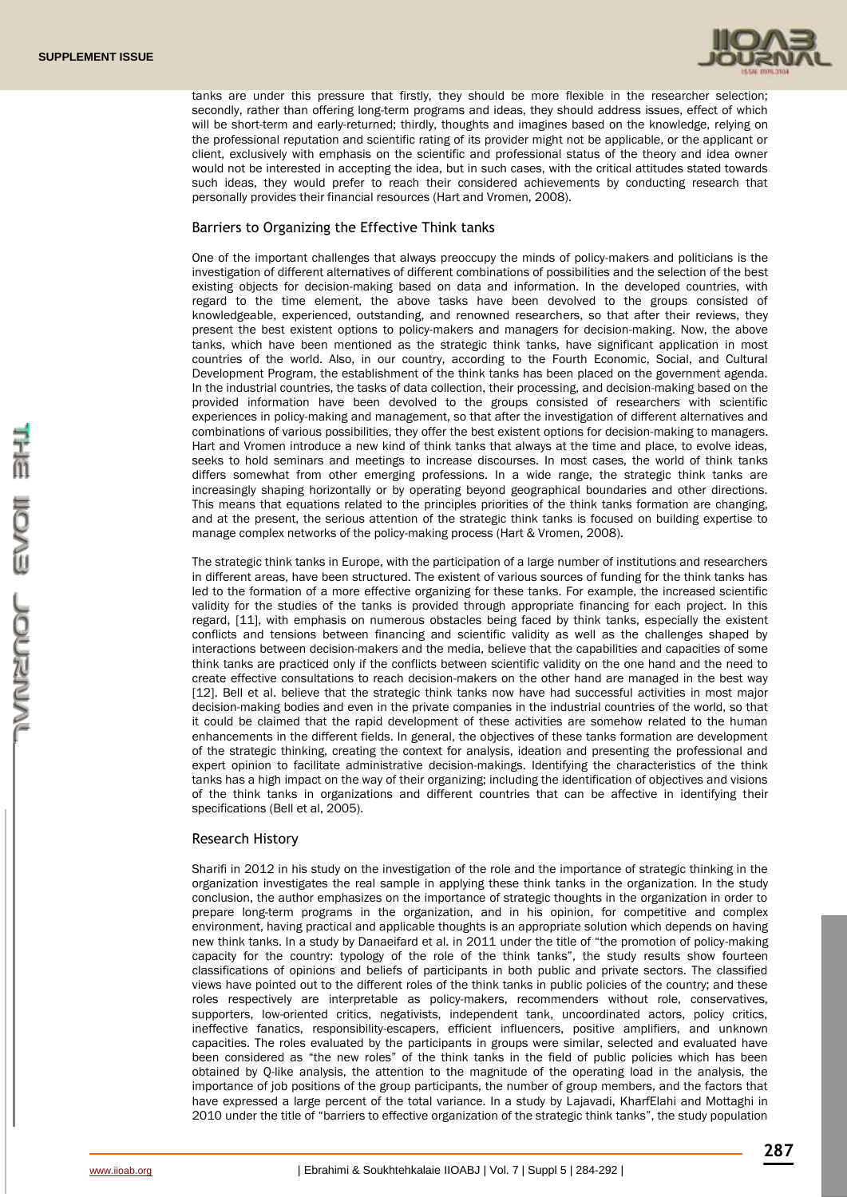

tanks are under this pressure that firstly, they should be more flexible in the researcher selection; secondly, rather than offering long-term programs and ideas, they should address issues, effect of which will be short-term and early-returned; thirdly, thoughts and imagines based on the knowledge, relying on the professional reputation and scientific rating of its provider might not be applicable, or the applicant or client, exclusively with emphasis on the scientific and professional status of the theory and idea owner would not be interested in accepting the idea, but in such cases, with the critical attitudes stated towards such ideas, they would prefer to reach their considered achievements by conducting research that personally provides their financial resources (Hart and Vromen, 2008).

### Barriers to Organizing the Effective Think tanks

One of the important challenges that always preoccupy the minds of policy-makers and politicians is the investigation of different alternatives of different combinations of possibilities and the selection of the best existing objects for decision-making based on data and information. In the developed countries, with regard to the time element, the above tasks have been devolved to the groups consisted of knowledgeable, experienced, outstanding, and renowned researchers, so that after their reviews, they present the best existent options to policy-makers and managers for decision-making. Now, the above tanks, which have been mentioned as the strategic think tanks, have significant application in most countries of the world. Also, in our country, according to the Fourth Economic, Social, and Cultural Development Program, the establishment of the think tanks has been placed on the government agenda. In the industrial countries, the tasks of data collection, their processing, and decision-making based on the provided information have been devolved to the groups consisted of researchers with scientific experiences in policy-making and management, so that after the investigation of different alternatives and combinations of various possibilities, they offer the best existent options for decision-making to managers. Hart and Vromen introduce a new kind of think tanks that always at the time and place, to evolve ideas, seeks to hold seminars and meetings to increase discourses. In most cases, the world of think tanks differs somewhat from other emerging professions. In a wide range, the strategic think tanks are increasingly shaping horizontally or by operating beyond geographical boundaries and other directions. This means that equations related to the principles priorities of the think tanks formation are changing, and at the present, the serious attention of the strategic think tanks is focused on building expertise to manage complex networks of the policy-making process (Hart & Vromen, 2008).

The strategic think tanks in Europe, with the participation of a large number of institutions and researchers in different areas, have been structured. The existent of various sources of funding for the think tanks has led to the formation of a more effective organizing for these tanks. For example, the increased scientific validity for the studies of the tanks is provided through appropriate financing for each project. In this regard, [11], with emphasis on numerous obstacles being faced by think tanks, especially the existent conflicts and tensions between financing and scientific validity as well as the challenges shaped by interactions between decision-makers and the media, believe that the capabilities and capacities of some think tanks are practiced only if the conflicts between scientific validity on the one hand and the need to create effective consultations to reach decision-makers on the other hand are managed in the best way [12]. Bell et al. believe that the strategic think tanks now have had successful activities in most major decision-making bodies and even in the private companies in the industrial countries of the world, so that it could be claimed that the rapid development of these activities are somehow related to the human enhancements in the different fields. In general, the objectives of these tanks formation are development of the strategic thinking, creating the context for analysis, ideation and presenting the professional and expert opinion to facilitate administrative decision-makings. Identifying the characteristics of the think tanks has a high impact on the way of their organizing; including the identification of objectives and visions of the think tanks in organizations and different countries that can be affective in identifying their specifications (Bell et al, 2005).

## Research History

Sharifi in 2012 in his study on the investigation of the role and the importance of strategic thinking in the organization investigates the real sample in applying these think tanks in the organization. In the study conclusion, the author emphasizes on the importance of strategic thoughts in the organization in order to prepare long-term programs in the organization, and in his opinion, for competitive and complex environment, having practical and applicable thoughts is an appropriate solution which depends on having new think tanks. In a study by Danaeifard et al. in 2011 under the title of "the promotion of policy-making capacity for the country: typology of the role of the think tanks", the study results show fourteen classifications of opinions and beliefs of participants in both public and private sectors. The classified views have pointed out to the different roles of the think tanks in public policies of the country; and these roles respectively are interpretable as policy-makers, recommenders without role, conservatives, supporters, low-oriented critics, negativists, independent tank, uncoordinated actors, policy critics, ineffective fanatics, responsibility-escapers, efficient influencers, positive amplifiers, and unknown capacities. The roles evaluated by the participants in groups were similar, selected and evaluated have been considered as "the new roles" of the think tanks in the field of public policies which has been obtained by Q-like analysis, the attention to the magnitude of the operating load in the analysis, the importance of job positions of the group participants, the number of group members, and the factors that have expressed a large percent of the total variance. In a study by Lajavadi, KharfElahi and Mottaghi in 2010 under the title of "barriers to effective organization of the strategic think tanks", the study population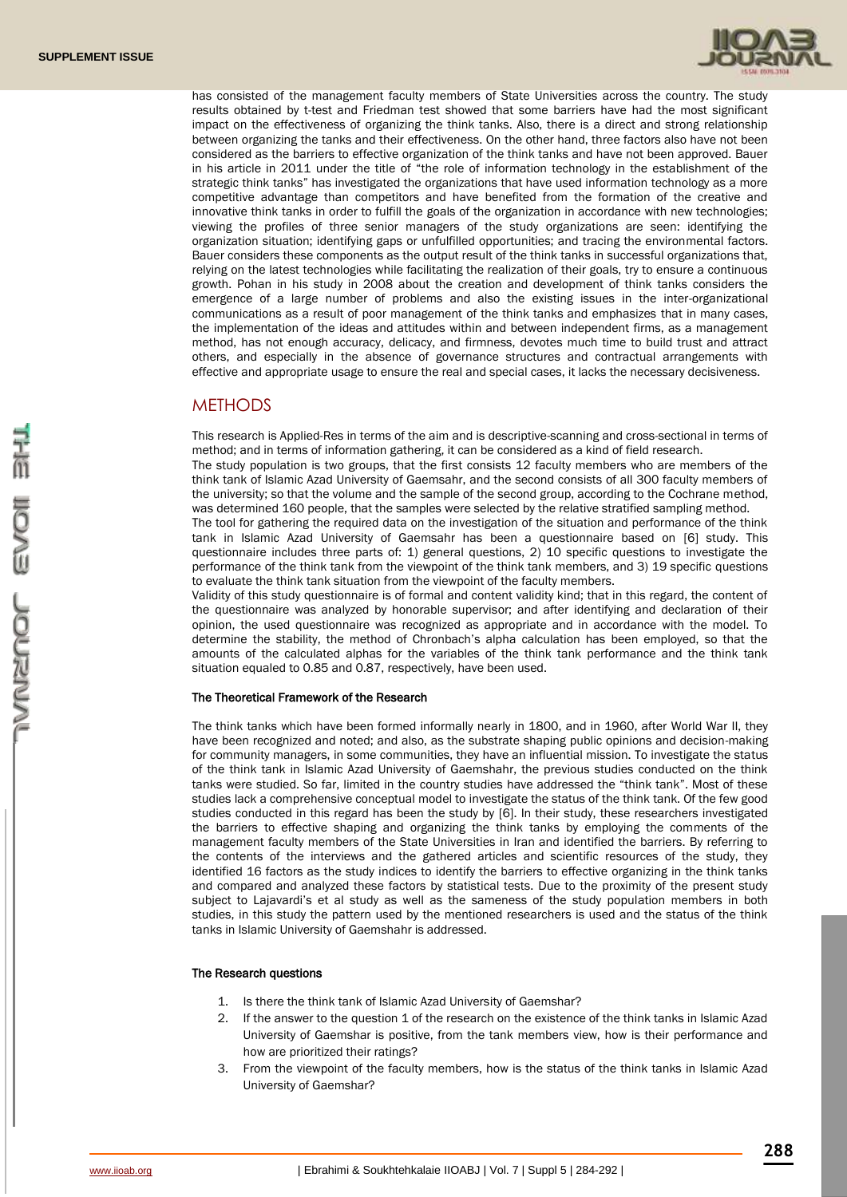

has consisted of the management faculty members of State Universities across the country. The study results obtained by t-test and Friedman test showed that some barriers have had the most significant impact on the effectiveness of organizing the think tanks. Also, there is a direct and strong relationship between organizing the tanks and their effectiveness. On the other hand, three factors also have not been considered as the barriers to effective organization of the think tanks and have not been approved. Bauer in his article in 2011 under the title of "the role of information technology in the establishment of the strategic think tanks" has investigated the organizations that have used information technology as a more competitive advantage than competitors and have benefited from the formation of the creative and innovative think tanks in order to fulfill the goals of the organization in accordance with new technologies; viewing the profiles of three senior managers of the study organizations are seen: identifying the organization situation; identifying gaps or unfulfilled opportunities; and tracing the environmental factors. Bauer considers these components as the output result of the think tanks in successful organizations that, relying on the latest technologies while facilitating the realization of their goals, try to ensure a continuous growth. Pohan in his study in 2008 about the creation and development of think tanks considers the emergence of a large number of problems and also the existing issues in the inter-organizational communications as a result of poor management of the think tanks and emphasizes that in many cases, the implementation of the ideas and attitudes within and between independent firms, as a management method, has not enough accuracy, delicacy, and firmness, devotes much time to build trust and attract others, and especially in the absence of governance structures and contractual arrangements with effective and appropriate usage to ensure the real and special cases, it lacks the necessary decisiveness.

# **METHODS**

This research is Applied-Res in terms of the aim and is descriptive-scanning and cross-sectional in terms of method; and in terms of information gathering, it can be considered as a kind of field research.

The study population is two groups, that the first consists 12 faculty members who are members of the think tank of Islamic Azad University of Gaemsahr, and the second consists of all 300 faculty members of the university; so that the volume and the sample of the second group, according to the Cochrane method, was determined 160 people, that the samples were selected by the relative stratified sampling method.

The tool for gathering the required data on the investigation of the situation and performance of the think tank in Islamic Azad University of Gaemsahr has been a questionnaire based on [6] study. This questionnaire includes three parts of: 1) general questions, 2) 10 specific questions to investigate the performance of the think tank from the viewpoint of the think tank members, and 3) 19 specific questions to evaluate the think tank situation from the viewpoint of the faculty members.

Validity of this study questionnaire is of formal and content validity kind; that in this regard, the content of the questionnaire was analyzed by honorable supervisor; and after identifying and declaration of their opinion, the used questionnaire was recognized as appropriate and in accordance with the model. To determine the stability, the method of Chronbach's alpha calculation has been employed, so that the amounts of the calculated alphas for the variables of the think tank performance and the think tank situation equaled to 0.85 and 0.87, respectively, have been used.

#### The Theoretical Framework of the Research

The think tanks which have been formed informally nearly in 1800, and in 1960, after World War II, they have been recognized and noted; and also, as the substrate shaping public opinions and decision-making for community managers, in some communities, they have an influential mission. To investigate the status of the think tank in Islamic Azad University of Gaemshahr, the previous studies conducted on the think tanks were studied. So far, limited in the country studies have addressed the "think tank". Most of these studies lack a comprehensive conceptual model to investigate the status of the think tank. Of the few good studies conducted in this regard has been the study by [6]. In their study, these researchers investigated the barriers to effective shaping and organizing the think tanks by employing the comments of the management faculty members of the State Universities in Iran and identified the barriers. By referring to the contents of the interviews and the gathered articles and scientific resources of the study, they identified 16 factors as the study indices to identify the barriers to effective organizing in the think tanks and compared and analyzed these factors by statistical tests. Due to the proximity of the present study subject to Lajavardi's et al study as well as the sameness of the study population members in both studies, in this study the pattern used by the mentioned researchers is used and the status of the think tanks in Islamic University of Gaemshahr is addressed.

#### The Research questions

- 1. Is there the think tank of Islamic Azad University of Gaemshar?
- 2. If the answer to the question 1 of the research on the existence of the think tanks in Islamic Azad University of Gaemshar is positive, from the tank members view, how is their performance and how are prioritized their ratings?
- 3. From the viewpoint of the faculty members, how is the status of the think tanks in Islamic Azad University of Gaemshar?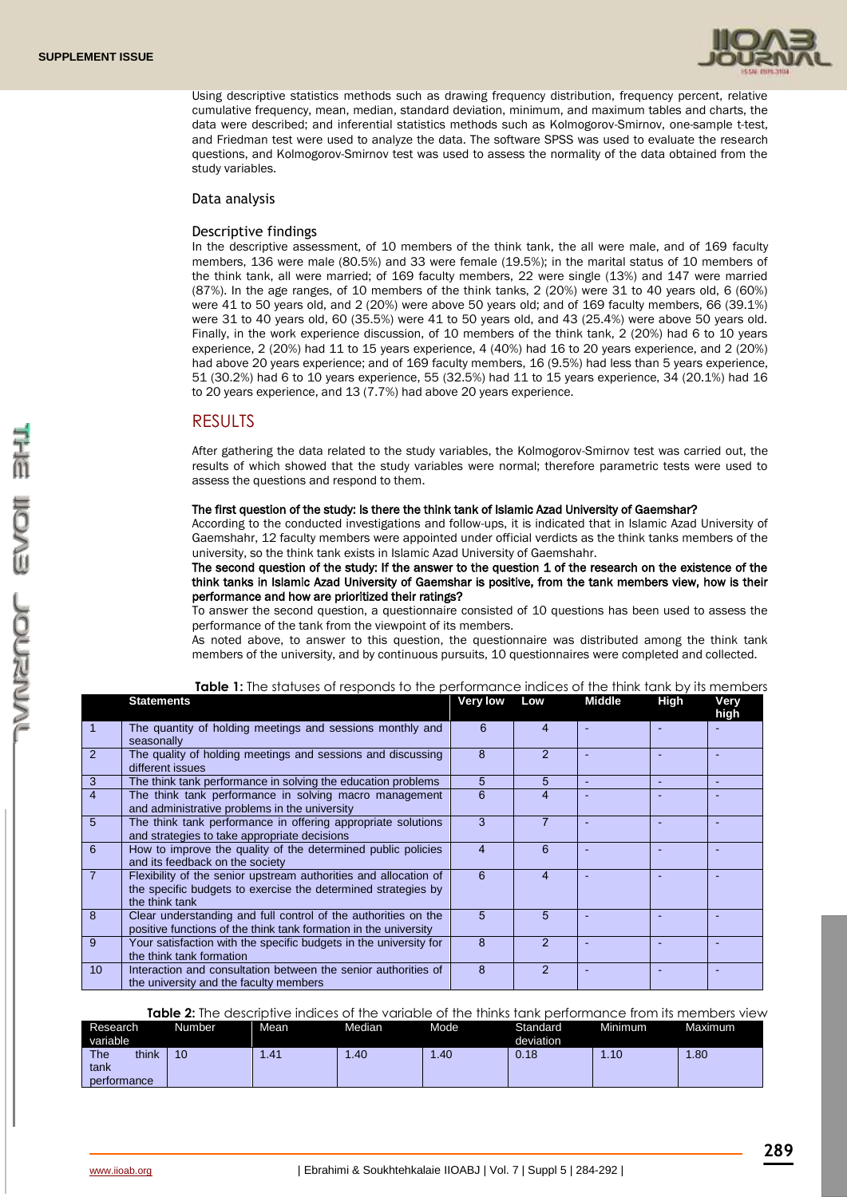

Using descriptive statistics methods such as drawing frequency distribution, frequency percent, relative cumulative frequency, mean, median, standard deviation, minimum, and maximum tables and charts, the data were described; and inferential statistics methods such as Kolmogorov-Smirnov, one-sample t-test, and Friedman test were used to analyze the data. The software SPSS was used to evaluate the research questions, and Kolmogorov-Smirnov test was used to assess the normality of the data obtained from the study variables.

#### Data analysis

### Descriptive findings

In the descriptive assessment, of 10 members of the think tank, the all were male, and of 169 faculty members, 136 were male (80.5%) and 33 were female (19.5%); in the marital status of 10 members of the think tank, all were married; of 169 faculty members, 22 were single (13%) and 147 were married (87%). In the age ranges, of 10 members of the think tanks, 2 (20%) were 31 to 40 years old, 6 (60%) were 41 to 50 years old, and 2 (20%) were above 50 years old; and of 169 faculty members, 66 (39.1%) were 31 to 40 years old, 60 (35.5%) were 41 to 50 years old, and 43 (25.4%) were above 50 years old. Finally, in the work experience discussion, of 10 members of the think tank, 2 (20%) had 6 to 10 years experience, 2 (20%) had 11 to 15 years experience, 4 (40%) had 16 to 20 years experience, and 2 (20%) had above 20 years experience; and of 169 faculty members, 16 (9.5%) had less than 5 years experience, 51 (30.2%) had 6 to 10 years experience, 55 (32.5%) had 11 to 15 years experience, 34 (20.1%) had 16 to 20 years experience, and 13 (7.7%) had above 20 years experience.

# RESULTS

After gathering the data related to the study variables, the Kolmogorov-Smirnov test was carried out, the results of which showed that the study variables were normal; therefore parametric tests were used to assess the questions and respond to them.

### The first question of the study: Is there the think tank of Islamic Azad University of Gaemshar?

According to the conducted investigations and follow-ups, it is indicated that in Islamic Azad University of Gaemshahr, 12 faculty members were appointed under official verdicts as the think tanks members of the university, so the think tank exists in Islamic Azad University of Gaemshahr.

The second question of the study: If the answer to the question 1 of the research on the existence of the think tanks in Islamic Azad University of Gaemshar is positive, from the tank members view, how is their performance and how are prioritized their ratings?

To answer the second question, a questionnaire consisted of 10 questions has been used to assess the performance of the tank from the viewpoint of its members.

As noted above, to answer to this question, the questionnaire was distributed among the think tank members of the university, and by continuous pursuits, 10 questionnaires were completed and collected.

|                 | <b>Statements</b>                                                                                                                                   | <b>Very low</b> | Low           | <b>Middle</b> | <b>High</b>              | Very<br>high |
|-----------------|-----------------------------------------------------------------------------------------------------------------------------------------------------|-----------------|---------------|---------------|--------------------------|--------------|
|                 | The quantity of holding meetings and sessions monthly and<br>seasonally                                                                             | 6               | 4             |               |                          |              |
| $\overline{2}$  | The quality of holding meetings and sessions and discussing<br>different issues                                                                     | 8               |               |               |                          |              |
| $\mathbf{3}$    | The think tank performance in solving the education problems                                                                                        | 5               | 5             | ÷             | $\overline{\phantom{a}}$ |              |
| $\overline{4}$  | The think tank performance in solving macro management<br>and administrative problems in the university                                             | 6               | 4             |               |                          |              |
| $5\overline{5}$ | The think tank performance in offering appropriate solutions<br>and strategies to take appropriate decisions                                        | 3               |               |               |                          |              |
| 6               | How to improve the quality of the determined public policies<br>and its feedback on the society                                                     | 4               | 6             |               |                          |              |
| $\overline{7}$  | Flexibility of the senior upstream authorities and allocation of<br>the specific budgets to exercise the determined strategies by<br>the think tank | 6               | 4             |               |                          |              |
| 8               | Clear understanding and full control of the authorities on the<br>positive functions of the think tank formation in the university                  | 5               | 5             |               |                          |              |
| 9               | Your satisfaction with the specific budgets in the university for<br>the think tank formation                                                       | 8               | $\mathcal{P}$ |               |                          |              |
| 10 <sup>°</sup> | Interaction and consultation between the senior authorities of<br>the university and the faculty members                                            | 8               | $\mathcal{P}$ |               |                          |              |

**Table 1:** The statuses of responds to the performance indices of the think tank by its members

**Table 2:** The descriptive indices of the variable of the thinks tank performance from its members view

| Research<br>variable                       | Number | Mean  | Median | Mode | Standard<br>deviation | Minimum | Maximum |
|--------------------------------------------|--------|-------|--------|------|-----------------------|---------|---------|
| <b>The</b><br>think<br>tank<br>performance | 10     | 41. ا | .40    | l.40 | 0.18                  | .10     | .80     |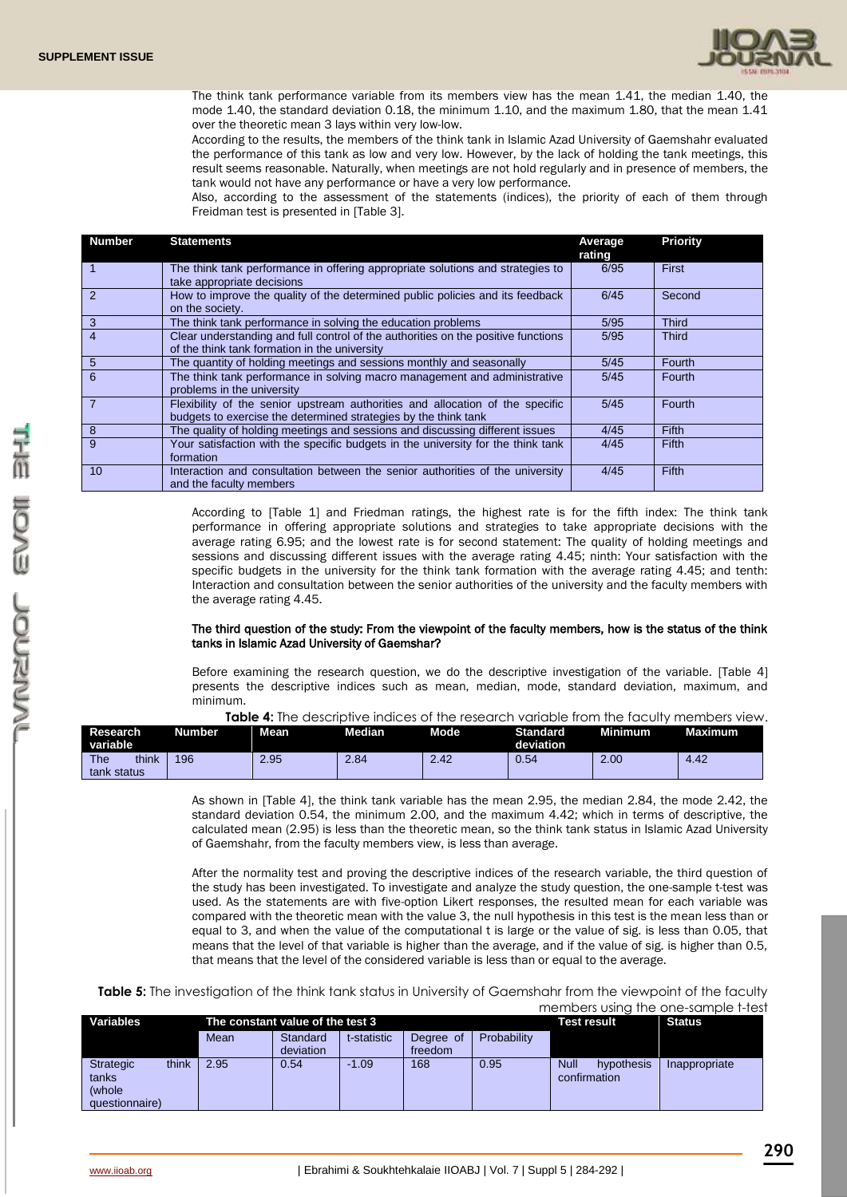

The think tank performance variable from its members view has the mean 1.41, the median 1.40, the mode 1.40, the standard deviation 0.18, the minimum 1.10, and the maximum 1.80, that the mean 1.41 over the theoretic mean 3 lays within very low-low.

According to the results, the members of the think tank in Islamic Azad University of Gaemshahr evaluated the performance of this tank as low and very low. However, by the lack of holding the tank meetings, this result seems reasonable. Naturally, when meetings are not hold regularly and in presence of members, the tank would not have any performance or have a very low performance.

Also, according to the assessment of the statements (indices), the priority of each of them through Freidman test is presented in [Table 3].

| <b>Number</b>  | <b>Statements</b>                                                                                                                                | Average<br>rating | <b>Priority</b> |
|----------------|--------------------------------------------------------------------------------------------------------------------------------------------------|-------------------|-----------------|
|                | The think tank performance in offering appropriate solutions and strategies to<br>take appropriate decisions                                     | 6/95              | First           |
| $\overline{2}$ | How to improve the quality of the determined public policies and its feedback<br>on the society.                                                 | 6/45              | Second          |
| 3              | The think tank performance in solving the education problems                                                                                     | 5/95              | <b>Third</b>    |
| $\overline{4}$ | Clear understanding and full control of the authorities on the positive functions<br>of the think tank formation in the university               | 5/95              | <b>Third</b>    |
| $\sqrt{5}$     | The quantity of holding meetings and sessions monthly and seasonally                                                                             | 5/45              | Fourth          |
| 6              | The think tank performance in solving macro management and administrative<br>problems in the university                                          | 5/45              | Fourth          |
| $\overline{7}$ | Flexibility of the senior upstream authorities and allocation of the specific<br>budgets to exercise the determined strategies by the think tank | 5/45              | Fourth          |
| 8              | The quality of holding meetings and sessions and discussing different issues                                                                     | 4/45              | Fifth           |
| 9              | Your satisfaction with the specific budgets in the university for the think tank<br>formation                                                    | 4/45              | <b>Fifth</b>    |
| 10             | Interaction and consultation between the senior authorities of the university<br>and the faculty members                                         | 4/45              | Fifth           |

According to [Table 1] and Friedman ratings, the highest rate is for the fifth index: The think tank performance in offering appropriate solutions and strategies to take appropriate decisions with the average rating 6.95; and the lowest rate is for second statement: The quality of holding meetings and sessions and discussing different issues with the average rating 4.45; ninth: Your satisfaction with the specific budgets in the university for the think tank formation with the average rating 4.45; and tenth: Interaction and consultation between the senior authorities of the university and the faculty members with the average rating 4.45.

### The third question of the study: From the viewpoint of the faculty members, how is the status of the think tanks in Islamic Azad University of Gaemshar?

Before examining the research question, we do the descriptive investigation of the variable. [Table 4] presents the descriptive indices such as mean, median, mode, standard deviation, maximum, and minimum.

| <b>Table 4:</b> The descriptive indices of the research variable from the faculty members view. |  |  |
|-------------------------------------------------------------------------------------------------|--|--|
|                                                                                                 |  |  |

| <b>Research</b><br>variable        | Number | <b>Mean</b> | Median       | Mode <sup>1</sup> | <b>Standard</b><br>deviation | Minimum | <b>Maximum</b> |
|------------------------------------|--------|-------------|--------------|-------------------|------------------------------|---------|----------------|
| <b>The</b><br>think<br>tank status | 196    | 2.95        | $\angle .84$ | 2.42              | 0.54                         | 2.00    | 4.42           |

As shown in [Table 4], the think tank variable has the mean 2.95, the median 2.84, the mode 2.42, the standard deviation 0.54, the minimum 2.00, and the maximum 4.42; which in terms of descriptive, the calculated mean (2.95) is less than the theoretic mean, so the think tank status in Islamic Azad University of Gaemshahr, from the faculty members view, is less than average.

After the normality test and proving the descriptive indices of the research variable, the third question of the study has been investigated. To investigate and analyze the study question, the one-sample t-test was used. As the statements are with five-option Likert responses, the resulted mean for each variable was compared with the theoretic mean with the value 3, the null hypothesis in this test is the mean less than or equal to 3, and when the value of the computational t is large or the value of sig. is less than 0.05, that means that the level of that variable is higher than the average, and if the value of sig. is higher than 0.5, that means that the level of the considered variable is less than or equal to the average.

**Table 5:** The investigation of the think tank status in University of Gaemshahr from the viewpoint of the faculty members using the one-sample t-test

| Variables      |       | The constant value of the test 3 |           |             |           |             | Test result               | <b>Status</b> |
|----------------|-------|----------------------------------|-----------|-------------|-----------|-------------|---------------------------|---------------|
|                |       | Mean                             | Standard  | t-statistic | Degree of | Probability |                           |               |
|                |       |                                  | deviation |             | freedom   |             |                           |               |
| Strategic      | think | 2.95                             | 0.54      | $-1.09$     | 168       | 0.95        | <b>Null</b><br>hypothesis | Inappropriate |
| tanks          |       |                                  |           |             |           |             | confirmation              |               |
| (whole         |       |                                  |           |             |           |             |                           |               |
| questionnaire) |       |                                  |           |             |           |             |                           |               |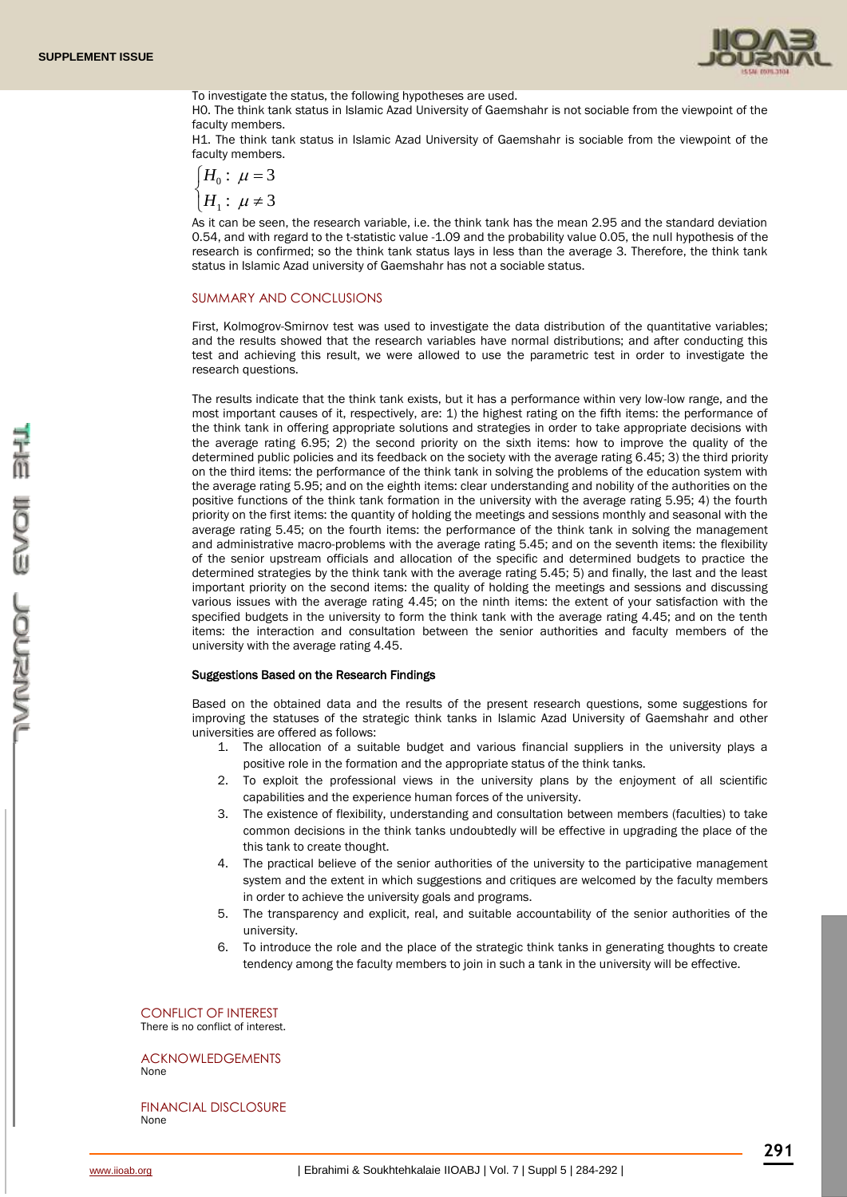

To investigate the status, the following hypotheses are used.

H0. The think tank status in Islamic Azad University of Gaemshahr is not sociable from the viewpoint of the faculty members.

H1. The think tank status in Islamic Azad University of Gaemshahr is sociable from the viewpoint of the faculty members.

$$
\begin{cases} H_0: \ \mu = 3 \\ H_1: \ \mu \neq 3 \end{cases}
$$

As it can be seen, the research variable, i.e. the think tank has the mean 2.95 and the standard deviation 0.54, and with regard to the t-statistic value -1.09 and the probability value 0.05, the null hypothesis of the research is confirmed; so the think tank status lays in less than the average 3. Therefore, the think tank status in Islamic Azad university of Gaemshahr has not a sociable status.

#### SUMMARY AND CONCLUSIONS

First, Kolmogrov-Smirnov test was used to investigate the data distribution of the quantitative variables; and the results showed that the research variables have normal distributions; and after conducting this test and achieving this result, we were allowed to use the parametric test in order to investigate the research questions.

The results indicate that the think tank exists, but it has a performance within very low-low range, and the most important causes of it, respectively, are: 1) the highest rating on the fifth items: the performance of the think tank in offering appropriate solutions and strategies in order to take appropriate decisions with the average rating 6.95; 2) the second priority on the sixth items: how to improve the quality of the determined public policies and its feedback on the society with the average rating 6.45; 3) the third priority on the third items: the performance of the think tank in solving the problems of the education system with the average rating 5.95; and on the eighth items: clear understanding and nobility of the authorities on the positive functions of the think tank formation in the university with the average rating 5.95; 4) the fourth priority on the first items: the quantity of holding the meetings and sessions monthly and seasonal with the average rating 5.45; on the fourth items: the performance of the think tank in solving the management and administrative macro-problems with the average rating 5.45; and on the seventh items: the flexibility of the senior upstream officials and allocation of the specific and determined budgets to practice the determined strategies by the think tank with the average rating 5.45; 5) and finally, the last and the least important priority on the second items: the quality of holding the meetings and sessions and discussing various issues with the average rating 4.45; on the ninth items: the extent of your satisfaction with the specified budgets in the university to form the think tank with the average rating 4.45; and on the tenth items: the interaction and consultation between the senior authorities and faculty members of the university with the average rating 4.45.

#### Suggestions Based on the Research Findings

Based on the obtained data and the results of the present research questions, some suggestions for improving the statuses of the strategic think tanks in Islamic Azad University of Gaemshahr and other universities are offered as follows:

- 1. The allocation of a suitable budget and various financial suppliers in the university plays a positive role in the formation and the appropriate status of the think tanks.
- 2. To exploit the professional views in the university plans by the enjoyment of all scientific capabilities and the experience human forces of the university.
- 3. The existence of flexibility, understanding and consultation between members (faculties) to take common decisions in the think tanks undoubtedly will be effective in upgrading the place of the this tank to create thought.
- 4. The practical believe of the senior authorities of the university to the participative management system and the extent in which suggestions and critiques are welcomed by the faculty members in order to achieve the university goals and programs.
- 5. The transparency and explicit, real, and suitable accountability of the senior authorities of the university.
- 6. To introduce the role and the place of the strategic think tanks in generating thoughts to create tendency among the faculty members to join in such a tank in the university will be effective.

CONFLICT OF INTEREST There is no conflict of interest.

ACKNOWLEDGEMENTS None

FINANCIAL DISCLOSURE None